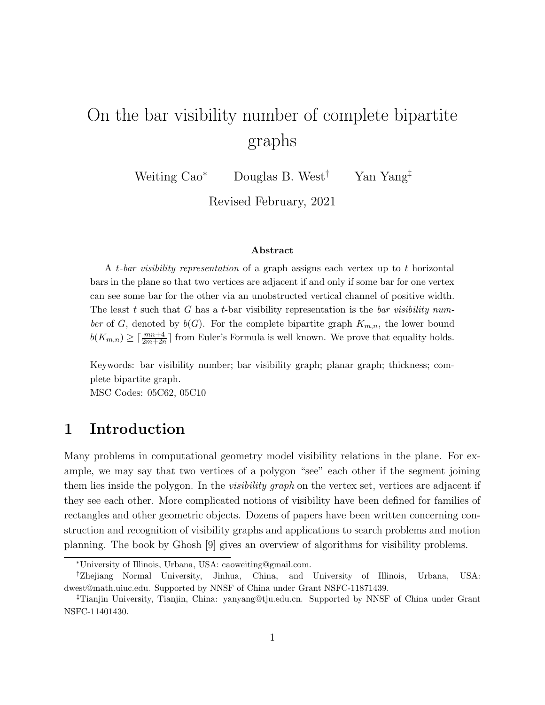# On the bar visibility number of complete bipartite graphs

Weiting  $\text{Cao}^*$  Douglas B. West<sup>†</sup> Yan Yang<sup>‡</sup>

Revised February, 2021

#### Abstract

A t-bar visibility representation of a graph assigns each vertex up to t horizontal bars in the plane so that two vertices are adjacent if and only if some bar for one vertex can see some bar for the other via an unobstructed vertical channel of positive width. The least t such that G has a t-bar visibility representation is the bar visibility number of G, denoted by  $b(G)$ . For the complete bipartite graph  $K_{m,n}$ , the lower bound  $b(K_{m,n}) \geq \lceil \frac{mn+4}{2m+2n} \rceil$  from Euler's Formula is well known. We prove that equality holds.

Keywords: bar visibility number; bar visibility graph; planar graph; thickness; complete bipartite graph.

MSC Codes: 05C62, 05C10

## 1 Introduction

Many problems in computational geometry model visibility relations in the plane. For example, we may say that two vertices of a polygon "see" each other if the segment joining them lies inside the polygon. In the *visibility graph* on the vertex set, vertices are adjacent if they see each other. More complicated notions of visibility have been defined for families of rectangles and other geometric objects. Dozens of papers have been written concerning construction and recognition of visibility graphs and applications to search problems and motion planning. The book by Ghosh [9] gives an overview of algorithms for visibility problems.

<sup>∗</sup>University of Illinois, Urbana, USA: caoweiting@gmail.com.

<sup>†</sup>Zhejiang Normal University, Jinhua, China, and University of Illinois, Urbana, USA: dwest@math.uiuc.edu. Supported by NNSF of China under Grant NSFC-11871439.

<sup>‡</sup>Tianjin University, Tianjin, China: yanyang@tju.edu.cn. Supported by NNSF of China under Grant NSFC-11401430.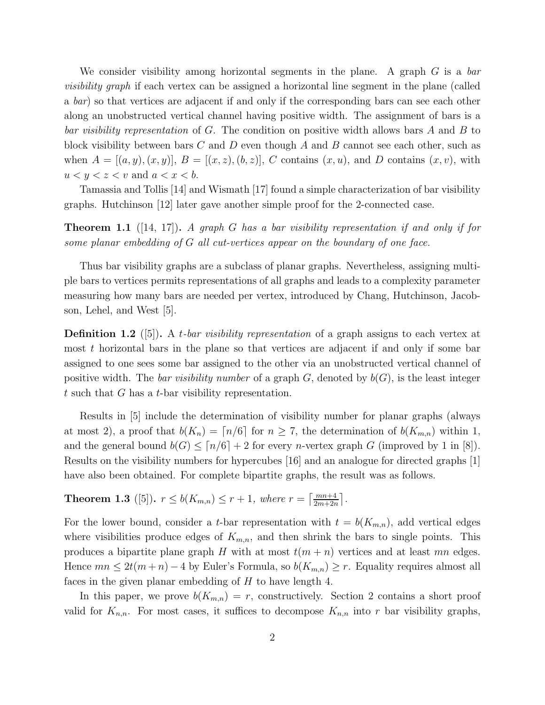We consider visibility among horizontal segments in the plane. A graph  $G$  is a bar visibility graph if each vertex can be assigned a horizontal line segment in the plane (called a bar) so that vertices are adjacent if and only if the corresponding bars can see each other along an unobstructed vertical channel having positive width. The assignment of bars is a bar visibility representation of  $G$ . The condition on positive width allows bars  $A$  and  $B$  to block visibility between bars C and D even though A and B cannot see each other, such as when  $A = [(a, y), (x, y)], B = [(x, z), (b, z)], C$  contains  $(x, u)$ , and D contains  $(x, v)$ , with  $u < y < z < v$  and  $a < x < b$ .

Tamassia and Tollis [14] and Wismath [17] found a simple characterization of bar visibility graphs. Hutchinson [12] later gave another simple proof for the 2-connected case.

**Theorem 1.1** ([14, 17]). A graph G has a bar visibility representation if and only if for some planar embedding of G all cut-vertices appear on the boundary of one face.

Thus bar visibility graphs are a subclass of planar graphs. Nevertheless, assigning multiple bars to vertices permits representations of all graphs and leads to a complexity parameter measuring how many bars are needed per vertex, introduced by Chang, Hutchinson, Jacobson, Lehel, and West [5].

**Definition 1.2** ([5]). A t-bar visibility representation of a graph assigns to each vertex at most  $t$  horizontal bars in the plane so that vertices are adjacent if and only if some bar assigned to one sees some bar assigned to the other via an unobstructed vertical channel of positive width. The bar visibility number of a graph  $G$ , denoted by  $b(G)$ , is the least integer t such that  $G$  has a t-bar visibility representation.

Results in [5] include the determination of visibility number for planar graphs (always at most 2), a proof that  $b(K_n) = \lfloor n/6 \rfloor$  for  $n \geq 7$ , the determination of  $b(K_{m,n})$  within 1, and the general bound  $b(G) \leq [n/6] + 2$  for every *n*-vertex graph G (improved by 1 in [8]). Results on the visibility numbers for hypercubes [16] and an analogue for directed graphs [1] have also been obtained. For complete bipartite graphs, the result was as follows.

# **Theorem 1.3** ([5]).  $r \leq b(K_{m,n}) \leq r+1$ , where  $r = \left\lceil \frac{mn+4}{2m+2n} \right\rceil$ .

For the lower bound, consider a t-bar representation with  $t = b(K_{m,n})$ , add vertical edges where visibilities produce edges of  $K_{m,n}$ , and then shrink the bars to single points. This produces a bipartite plane graph H with at most  $t(m + n)$  vertices and at least mn edges. Hence  $mn \leq 2t(m+n)-4$  by Euler's Formula, so  $b(K_{m,n}) \geq r$ . Equality requires almost all faces in the given planar embedding of  $H$  to have length 4.

In this paper, we prove  $b(K_{m,n}) = r$ , constructively. Section 2 contains a short proof valid for  $K_{n,n}$ . For most cases, it suffices to decompose  $K_{n,n}$  into r bar visibility graphs,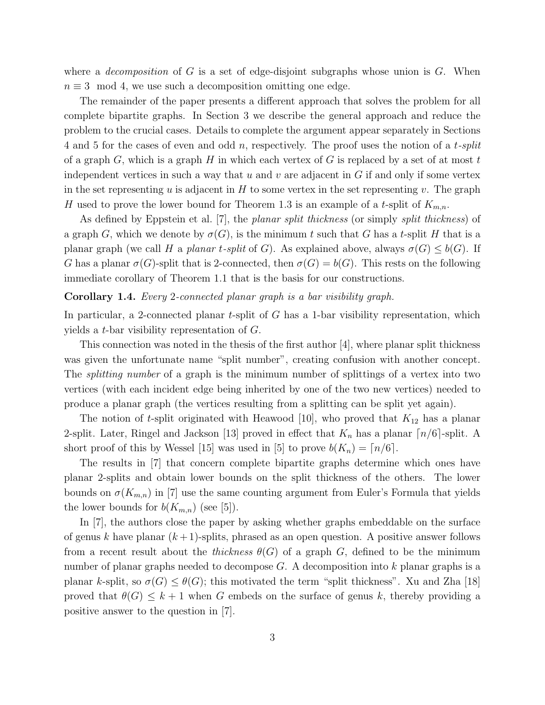where a *decomposition* of G is a set of edge-disjoint subgraphs whose union is G. When  $n \equiv 3 \mod 4$ , we use such a decomposition omitting one edge.

The remainder of the paper presents a different approach that solves the problem for all complete bipartite graphs. In Section 3 we describe the general approach and reduce the problem to the crucial cases. Details to complete the argument appear separately in Sections 4 and 5 for the cases of even and odd n, respectively. The proof uses the notion of a t-split of a graph  $G$ , which is a graph  $H$  in which each vertex of  $G$  is replaced by a set of at most  $t$ independent vertices in such a way that u and v are adjacent in  $G$  if and only if some vertex in the set representing u is adjacent in  $H$  to some vertex in the set representing v. The graph H used to prove the lower bound for Theorem 1.3 is an example of a t-split of  $K_{m,n}$ .

As defined by Eppstein et al. [7], the *planar split thickness* (or simply *split thickness*) of a graph G, which we denote by  $\sigma(G)$ , is the minimum t such that G has a t-split H that is a planar graph (we call H a planar t-split of G). As explained above, always  $\sigma(G) \leq b(G)$ . If G has a planar  $\sigma(G)$ -split that is 2-connected, then  $\sigma(G) = b(G)$ . This rests on the following immediate corollary of Theorem 1.1 that is the basis for our constructions.

#### Corollary 1.4. Every 2-connected planar graph is a bar visibility graph.

In particular, a 2-connected planar t-split of  $G$  has a 1-bar visibility representation, which yields a t-bar visibility representation of G.

This connection was noted in the thesis of the first author [4], where planar split thickness was given the unfortunate name "split number", creating confusion with another concept. The *splitting number* of a graph is the minimum number of splittings of a vertex into two vertices (with each incident edge being inherited by one of the two new vertices) needed to produce a planar graph (the vertices resulting from a splitting can be split yet again).

The notion of t-split originated with Heawood [10], who proved that  $K_{12}$  has a planar 2-split. Later, Ringel and Jackson [13] proved in effect that  $K_n$  has a planar  $\lceil n/6 \rceil$ -split. A short proof of this by Wessel [15] was used in [5] to prove  $b(K_n) = \lfloor n/6 \rfloor$ .

The results in [7] that concern complete bipartite graphs determine which ones have planar 2-splits and obtain lower bounds on the split thickness of the others. The lower bounds on  $\sigma(K_{m,n})$  in [7] use the same counting argument from Euler's Formula that yields the lower bounds for  $b(K_{m,n})$  (see [5]).

In [7], the authors close the paper by asking whether graphs embeddable on the surface of genus k have planar  $(k+1)$ -splits, phrased as an open question. A positive answer follows from a recent result about the *thickness*  $\theta(G)$  of a graph G, defined to be the minimum number of planar graphs needed to decompose  $G$ . A decomposition into k planar graphs is a planar k-split, so  $\sigma(G) \leq \theta(G)$ ; this motivated the term "split thickness". Xu and Zha [18] proved that  $\theta(G) \leq k+1$  when G embeds on the surface of genus k, thereby providing a positive answer to the question in [7].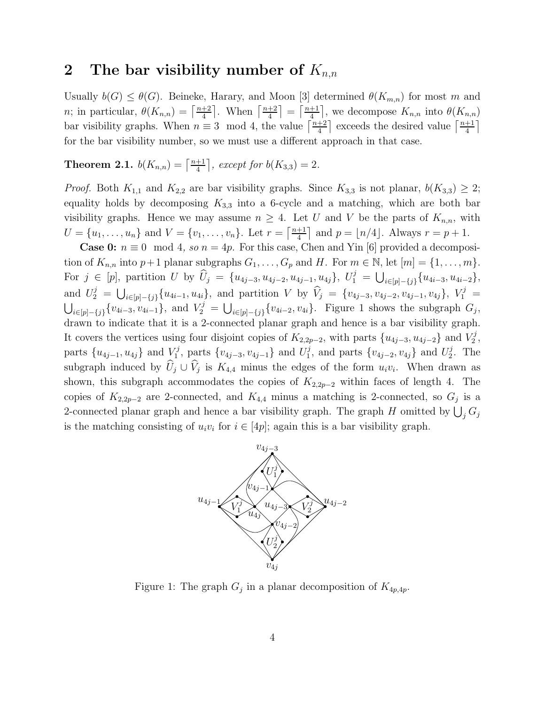### 2 The bar visibility number of  $K_{n,n}$

Usually  $b(G) \leq \theta(G)$ . Beineke, Harary, and Moon [3] determined  $\theta(K_{m,n})$  for most m and *n*; in particular,  $\theta(K_{n,n}) = \left[\frac{n+2}{4}\right]$  $\frac{+2}{4}$ . When  $\left\lceil \frac{n+2}{4} \right\rceil$  $\left(\frac{+2}{4}\right) = \left(\frac{n+1}{4}\right)$  $\frac{+1}{4}$ , we decompose  $K_{n,n}$  into  $\theta(K_{n,n})$ bar visibility graphs. When  $n \equiv 3 \mod 4$ , the value  $\lceil \frac{n+2}{4} \rceil$  $\frac{+2}{4}$  exceeds the desired value  $\lceil \frac{n+1}{4} \rceil$  $\frac{+1}{4}$ for the bar visibility number, so we must use a different approach in that case.

**Theorem 2.1.**  $b(K_{n,n}) = \lceil \frac{n+1}{4} \rceil$  $\frac{+1}{4}$ , except for  $b(K_{3,3}) = 2$ .

*Proof.* Both  $K_{1,1}$  and  $K_{2,2}$  are bar visibility graphs. Since  $K_{3,3}$  is not planar,  $b(K_{3,3}) \geq 2$ ; equality holds by decomposing  $K_{3,3}$  into a 6-cycle and a matching, which are both bar visibility graphs. Hence we may assume  $n \geq 4$ . Let U and V be the parts of  $K_{n,n}$ , with  $U = \{u_1, \ldots, u_n\}$  and  $V = \{v_1, \ldots, v_n\}$ . Let  $r = \lceil \frac{n+1}{4} \rceil$  $\frac{+1}{4}$  and  $p = \lfloor n/4 \rfloor$ . Always  $r = p + 1$ .

**Case 0:**  $n \equiv 0 \mod 4$ , so  $n = 4p$ . For this case, Chen and Yin [6] provided a decomposition of  $K_{n,n}$  into  $p+1$  planar subgraphs  $G_1, \ldots, G_p$  and H. For  $m \in \mathbb{N}$ , let  $[m] = \{1, \ldots, m\}$ . For  $j \in [p]$ , partition U by  $\widehat{U}_j = \{u_{4j-3}, u_{4j-2}, u_{4j-1}, u_{4j}\}, U_1^j = \bigcup_{i \in [p]-\{j\}} \{u_{4i-3}, u_{4i-2}\},$ and  $U_2^j = \bigcup_{i \in [p]-\{j\}} \{u_{4i-1}, u_{4i}\},\$ and partition V by  $\hat{V}_j = \{v_{4j-3}, v_{4j-2}, v_{4j-1}, v_{4j}\},\ V_1^j =$  $\bigcup_{i\in [p]-\{j\}} \{v_{4i-3}, v_{4i-1}\},\$ and  $V_2^j = \bigcup_{i\in [p]-\{j\}} \{v_{4i-2}, v_{4i}\}.$  Figure 1 shows the subgraph  $G_j$ , drawn to indicate that it is a 2-connected planar graph and hence is a bar visibility graph. It covers the vertices using four disjoint copies of  $K_{2,2p-2}$ , with parts  $\{u_{4j-3}, u_{4j-2}\}\$  and  $V_2^j$  $\frac{r}{2}$  , parts  $\{u_{4j-1}, u_{4j}\}\$ and  $V_1^j$  $v_1^{j}$ , parts  $\{v_{4j-3}, v_{4j-1}\}\$ and  $U_1^{j}$  $j_1^j$ , and parts  ${v_{4j-2}, v_{4j}}$  and  $U_2^j$  $2^j$ . The subgraph induced by  $U_j \cup V_j$  is  $K_{4,4}$  minus the edges of the form  $u_i v_i$ . When drawn as shown, this subgraph accommodates the copies of  $K_{2,2p-2}$  within faces of length 4. The copies of  $K_{2,2p-2}$  are 2-connected, and  $K_{4,4}$  minus a matching is 2-connected, so  $G_j$  is a 2-connected planar graph and hence a bar visibility graph. The graph H omitted by  $\bigcup_j G_j$ is the matching consisting of  $u_i v_i$  for  $i \in [4p]$ ; again this is a bar visibility graph.



Figure 1: The graph  $G_j$  in a planar decomposition of  $K_{4p,4p}$ .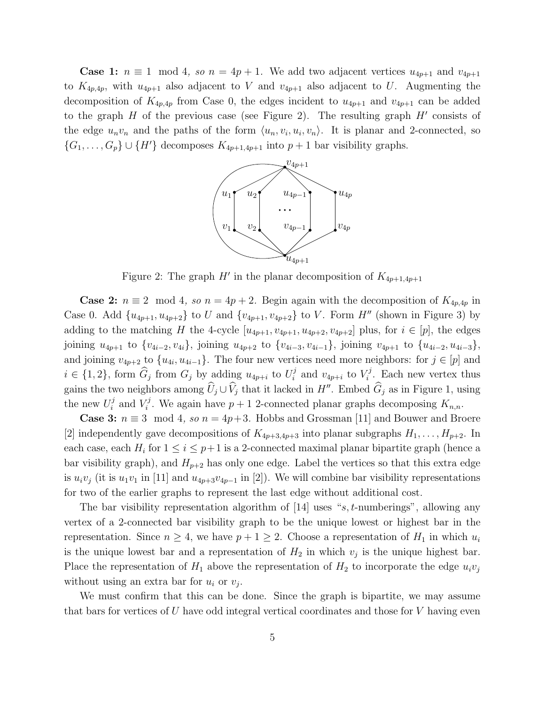**Case 1:**  $n \equiv 1 \mod 4$ , so  $n = 4p + 1$ . We add two adjacent vertices  $u_{4p+1}$  and  $v_{4p+1}$ to  $K_{4p,4p}$ , with  $u_{4p+1}$  also adjacent to V and  $v_{4p+1}$  also adjacent to U. Augmenting the decomposition of  $K_{4p,4p}$  from Case 0, the edges incident to  $u_{4p+1}$  and  $v_{4p+1}$  can be added to the graph  $H$  of the previous case (see Figure 2). The resulting graph  $H'$  consists of the edge  $u_n v_n$  and the paths of the form  $\langle u_n, v_i, u_i, v_n \rangle$ . It is planar and 2-connected, so  $\{G_1, \ldots, G_p\} \cup \{H'\}$  decomposes  $K_{4p+1,4p+1}$  into  $p+1$  bar visibility graphs.



Figure 2: The graph  $H'$  in the planar decomposition of  $K_{4p+1,4p+1}$ 

**Case 2:**  $n \equiv 2 \mod 4$ , so  $n = 4p + 2$ . Begin again with the decomposition of  $K_{4p,4p}$  in Case 0. Add  $\{u_{4p+1}, u_{4p+2}\}\)$  to U and  $\{v_{4p+1}, v_{4p+2}\}\)$  to V. Form H'' (shown in Figure 3) by adding to the matching H the 4-cycle  $[u_{4p+1}, u_{4p+1}, u_{4p+2}, v_{4p+2}]$  plus, for  $i \in [p]$ , the edges joining  $u_{4p+1}$  to  $\{v_{4i-2}, v_{4i}\}$ , joining  $u_{4p+2}$  to  $\{v_{4i-3}, v_{4i-1}\}$ , joining  $v_{4p+1}$  to  $\{u_{4i-2}, u_{4i-3}\}$ , and joining  $v_{4p+2}$  to  $\{u_{4i}, u_{4i-1}\}$ . The four new vertices need more neighbors: for  $j \in [p]$  and  $i \in \{1, 2\}$ , form  $\widehat{G}_j$  from  $G_j$  by adding  $u_{4p+i}$  to  $U_i^j$  $i$  and  $v_{4p+i}$  to  $V_i^j$  $\zeta_i^j$ . Each new vertex thus gains the two neighbors among  $\hat{U}_j \cup \hat{V}_j$  that it lacked in  $H''$ . Embed  $\hat{G}_j$  as in Figure 1, using the new  $U_i^j$  $i$  and  $V_i^j$ <sup>r</sup><sup>1</sup>. We again have  $p + 1$  2-connected planar graphs decomposing  $K_{n,n}$ .

**Case 3:**  $n \equiv 3 \mod 4$ , so  $n = 4p+3$ . Hobbs and Grossman [11] and Bouwer and Broere [2] independently gave decompositions of  $K_{4p+3,4p+3}$  into planar subgraphs  $H_1, \ldots, H_{p+2}$ . In each case, each  $H_i$  for  $1 \leq i \leq p+1$  is a 2-connected maximal planar bipartite graph (hence a bar visibility graph), and  $H_{p+2}$  has only one edge. Label the vertices so that this extra edge is  $u_i v_j$  (it is  $u_1 v_1$  in [11] and  $u_{4p+3} v_{4p-1}$  in [2]). We will combine bar visibility representations for two of the earlier graphs to represent the last edge without additional cost.

The bar visibility representation algorithm of  $|14|$  uses "s, t-numberings", allowing any vertex of a 2-connected bar visibility graph to be the unique lowest or highest bar in the representation. Since  $n \geq 4$ , we have  $p + 1 \geq 2$ . Choose a representation of  $H_1$  in which  $u_i$ is the unique lowest bar and a representation of  $H_2$  in which  $v_j$  is the unique highest bar. Place the representation of  $H_1$  above the representation of  $H_2$  to incorporate the edge  $u_i v_j$ without using an extra bar for  $u_i$  or  $v_j$ .

We must confirm that this can be done. Since the graph is bipartite, we may assume that bars for vertices of  $U$  have odd integral vertical coordinates and those for  $V$  having even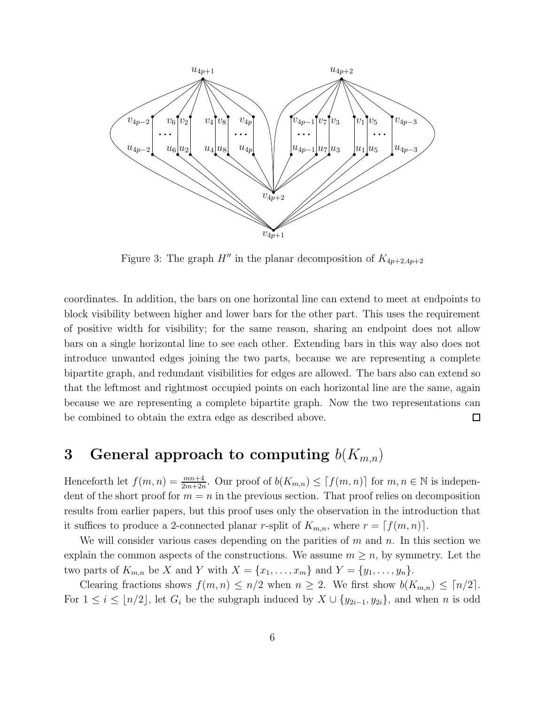

Figure 3: The graph  $H''$  in the planar decomposition of  $K_{4p+2,4p+2}$ 

coordinates. In addition, the bars on one horizontal line can extend to meet at endpoints to block visibility between higher and lower bars for the other part. This uses the requirement of positive width for visibility; for the same reason, sharing an endpoint does not allow bars on a single horizontal line to see each other. Extending bars in this way also does not introduce unwanted edges joining the two parts, because we are representing a complete bipartite graph, and redundant visibilities for edges are allowed. The bars also can extend so that the leftmost and rightmost occupied points on each horizontal line are the same, again because we are representing a complete bipartite graph. Now the two representations can be combined to obtain the extra edge as described above.  $\Box$ 

## 3 General approach to computing  $b(K_{m,n})$

Henceforth let  $f(m, n) = \frac{mn+4}{2m+2n}$ . Our proof of  $b(K_{m,n}) \leq [f(m,n)]$  for  $m, n \in \mathbb{N}$  is independent of the short proof for  $m = n$  in the previous section. That proof relies on decomposition results from earlier papers, but this proof uses only the observation in the introduction that it suffices to produce a 2-connected planar r-split of  $K_{m,n}$ , where  $r = [f(m,n)]$ .

We will consider various cases depending on the parities of  $m$  and  $n$ . In this section we explain the common aspects of the constructions. We assume  $m \geq n$ , by symmetry. Let the two parts of  $K_{m,n}$  be X and Y with  $X = \{x_1, \ldots, x_m\}$  and  $Y = \{y_1, \ldots, y_n\}.$ 

Clearing fractions shows  $f(m, n) \leq n/2$  when  $n \geq 2$ . We first show  $b(K_{m,n}) \leq \lceil n/2 \rceil$ . For  $1 \leq i \leq \lfloor n/2 \rfloor$ , let  $G_i$  be the subgraph induced by  $X \cup \{y_{2i-1}, y_{2i}\}$ , and when n is odd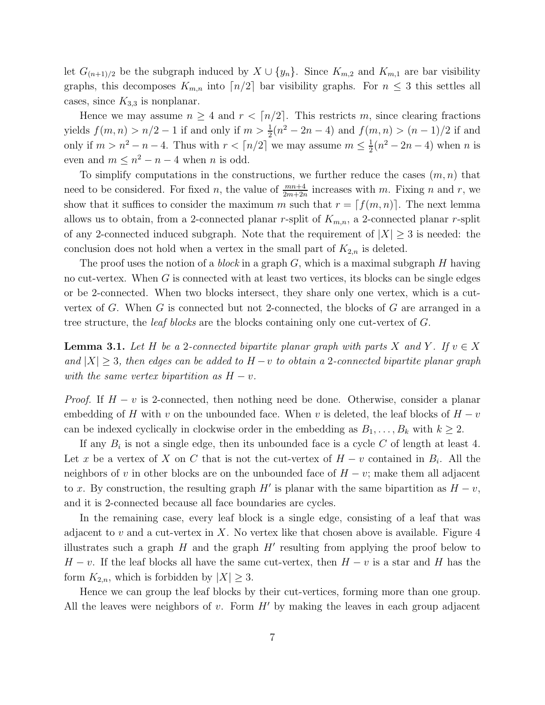let  $G_{(n+1)/2}$  be the subgraph induced by  $X \cup \{y_n\}$ . Since  $K_{m,2}$  and  $K_{m,1}$  are bar visibility graphs, this decomposes  $K_{m,n}$  into  $\lceil n/2 \rceil$  bar visibility graphs. For  $n \leq 3$  this settles all cases, since  $K_{3,3}$  is nonplanar.

Hence we may assume  $n \geq 4$  and  $r < \lceil n/2 \rceil$ . This restricts m, since clearing fractions yields  $f(m, n) > n/2 - 1$  if and only if  $m > \frac{1}{2}(n^2 - 2n - 4)$  and  $f(m, n) > (n - 1)/2$  if and only if  $m > n^2 - n - 4$ . Thus with  $r < \lceil n/2 \rceil$  we may assume  $m \leq \frac{1}{2}$  $\frac{1}{2}(n^2 - 2n - 4)$  when *n* is even and  $m \leq n^2 - n - 4$  when *n* is odd.

To simplify computations in the constructions, we further reduce the cases  $(m, n)$  that need to be considered. For fixed *n*, the value of  $\frac{mn+4}{2m+2n}$  increases with *m*. Fixing *n* and *r*, we show that it suffices to consider the maximum m such that  $r = [f(m, n)]$ . The next lemma allows us to obtain, from a 2-connected planar r-split of  $K_{m,n}$ , a 2-connected planar r-split of any 2-connected induced subgraph. Note that the requirement of  $|X| \geq 3$  is needed: the conclusion does not hold when a vertex in the small part of  $K_{2,n}$  is deleted.

The proof uses the notion of a *block* in a graph  $G$ , which is a maximal subgraph  $H$  having no cut-vertex. When  $G$  is connected with at least two vertices, its blocks can be single edges or be 2-connected. When two blocks intersect, they share only one vertex, which is a cutvertex of  $G$ . When  $G$  is connected but not 2-connected, the blocks of  $G$  are arranged in a tree structure, the *leaf blocks* are the blocks containing only one cut-vertex of G.

**Lemma 3.1.** Let H be a 2-connected bipartite planar graph with parts X and Y. If  $v \in X$ and  $|X| \geq 3$ , then edges can be added to  $H - v$  to obtain a 2-connected bipartite planar graph with the same vertex bipartition as  $H - v$ .

*Proof.* If  $H - v$  is 2-connected, then nothing need be done. Otherwise, consider a planar embedding of H with v on the unbounded face. When v is deleted, the leaf blocks of  $H - v$ can be indexed cyclically in clockwise order in the embedding as  $B_1, \ldots, B_k$  with  $k \geq 2$ .

If any  $B_i$  is not a single edge, then its unbounded face is a cycle C of length at least 4. Let x be a vertex of X on C that is not the cut-vertex of  $H - v$  contained in  $B_i$ . All the neighbors of v in other blocks are on the unbounded face of  $H - v$ ; make them all adjacent to x. By construction, the resulting graph  $H'$  is planar with the same bipartition as  $H - v$ , and it is 2-connected because all face boundaries are cycles.

In the remaining case, every leaf block is a single edge, consisting of a leaf that was adjacent to  $v$  and a cut-vertex in  $X$ . No vertex like that chosen above is available. Figure 4 illustrates such a graph  $H$  and the graph  $H'$  resulting from applying the proof below to  $H - v$ . If the leaf blocks all have the same cut-vertex, then  $H - v$  is a star and H has the form  $K_{2,n}$ , which is forbidden by  $|X| \geq 3$ .

Hence we can group the leaf blocks by their cut-vertices, forming more than one group. All the leaves were neighbors of  $v$ . Form  $H'$  by making the leaves in each group adjacent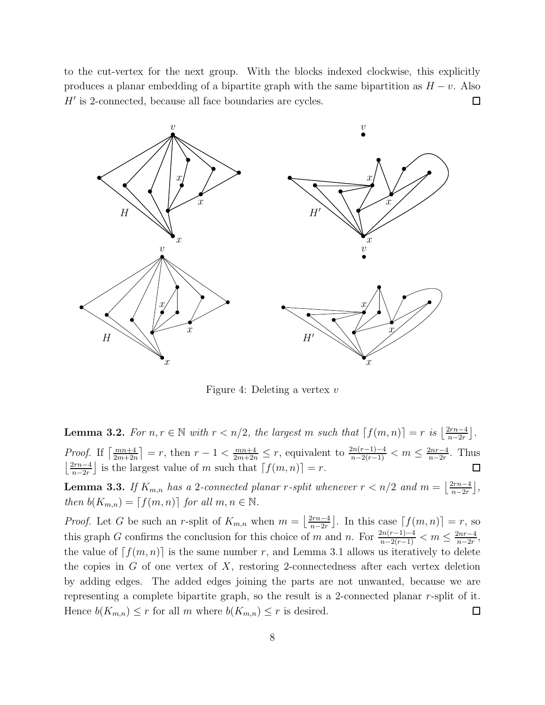to the cut-vertex for the next group. With the blocks indexed clockwise, this explicitly produces a planar embedding of a bipartite graph with the same bipartition as  $H - v$ . Also H′ is 2-connected, because all face boundaries are cycles.  $\Box$ 



Figure 4: Deleting a vertex v

**Lemma 3.2.** For  $n, r \in \mathbb{N}$  with  $r < n/2$ , the largest m such that  $[f(m, n)] = r$  is  $\left|\frac{2rn-4}{n-2r}\right|$  $\frac{2rn-4}{n-2r}$ . *Proof.* If  $\left[\frac{mn+4}{2m+2n}\right] = r$ , then  $r-1 < \frac{mn+4}{2m+2n} \le r$ , equivalent to  $\frac{2n(r-1)-4}{n-2(r-1)} < m \le \frac{2nr-4}{n-2r}$  $\frac{2nr-4}{n-2r}$ . Thus  $\frac{2rn-4}{2}$  $\frac{2rn-4}{n-2r}$  is the largest value of m such that  $[f(m, n)] = r$ .

**Lemma 3.3.** If  $K_{m,n}$  has a 2-connected planar r-split whenever  $r < n/2$  and  $m = \left(\frac{2rn-4}{n-2r}\right)$  $\frac{2rn-4}{n-2r}$ , then  $b(K_{m,n}) = \lceil f(m,n) \rceil$  for all  $m, n \in \mathbb{N}$ .

*Proof.* Let G be such an r-split of  $K_{m,n}$  when  $m = \left\lfloor \frac{2rn-4}{n-2r} \right\rfloor$  $\frac{2rn-4}{n-2r}$ . In this case  $\lceil f(m,n)\rceil = r$ , so this graph G confirms the conclusion for this choice of m and n. For  $\frac{2n(r-1)-4}{n-2(r-1)} < m \le \frac{2nr-4}{n-2r}$  $\frac{2nr-4}{n-2r},$ the value of  $[f(m, n)]$  is the same number r, and Lemma 3.1 allows us iteratively to delete the copies in  $G$  of one vertex of  $X$ , restoring 2-connectedness after each vertex deletion by adding edges. The added edges joining the parts are not unwanted, because we are representing a complete bipartite graph, so the result is a 2-connected planar r-split of it. Hence  $b(K_{m,n}) \leq r$  for all m where  $b(K_{m,n}) \leq r$  is desired.  $\Box$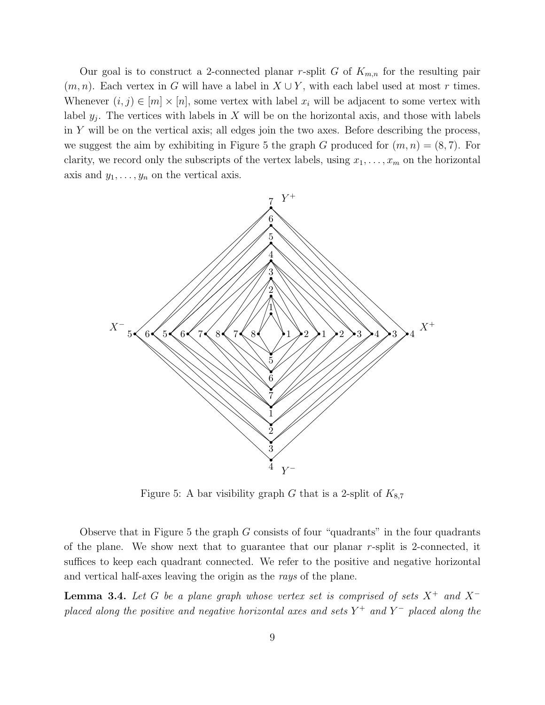Our goal is to construct a 2-connected planar r-split G of  $K_{m,n}$  for the resulting pair  $(m, n)$ . Each vertex in G will have a label in  $X \cup Y$ , with each label used at most r times. Whenever  $(i, j) \in [m] \times [n]$ , some vertex with label  $x_i$  will be adjacent to some vertex with label  $y_j$ . The vertices with labels in X will be on the horizontal axis, and those with labels in Y will be on the vertical axis; all edges join the two axes. Before describing the process, we suggest the aim by exhibiting in Figure 5 the graph G produced for  $(m, n) = (8, 7)$ . For clarity, we record only the subscripts of the vertex labels, using  $x_1, \ldots, x_m$  on the horizontal axis and  $y_1, \ldots, y_n$  on the vertical axis.



Figure 5: A bar visibility graph G that is a 2-split of  $K_{8,7}$ 

Observe that in Figure 5 the graph  $G$  consists of four "quadrants" in the four quadrants of the plane. We show next that to guarantee that our planar r-split is 2-connected, it suffices to keep each quadrant connected. We refer to the positive and negative horizontal and vertical half-axes leaving the origin as the rays of the plane.

**Lemma 3.4.** Let G be a plane graph whose vertex set is comprised of sets  $X^+$  and  $X^$ placed along the positive and negative horizontal axes and sets  $Y^+$  and  $Y^-$  placed along the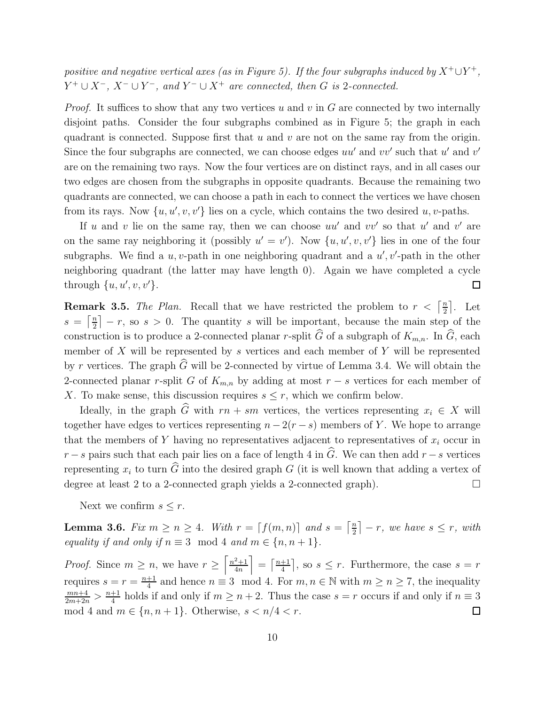positive and negative vertical axes (as in Figure 5). If the four subgraphs induced by  $X^+ \cup Y^+$ ,  $Y^+ \cup X^-$ ,  $X^- \cup Y^-$ , and  $Y^- \cup X^+$  are connected, then G is 2-connected.

*Proof.* It suffices to show that any two vertices u and v in  $G$  are connected by two internally disjoint paths. Consider the four subgraphs combined as in Figure 5; the graph in each quadrant is connected. Suppose first that  $u$  and  $v$  are not on the same ray from the origin. Since the four subgraphs are connected, we can choose edges  $uu'$  and  $vv'$  such that  $u'$  and  $v'$ are on the remaining two rays. Now the four vertices are on distinct rays, and in all cases our two edges are chosen from the subgraphs in opposite quadrants. Because the remaining two quadrants are connected, we can choose a path in each to connect the vertices we have chosen from its rays. Now  $\{u, u', v, v'\}$  lies on a cycle, which contains the two desired u, v-paths.

If u and v lie on the same ray, then we can choose  $uu'$  and  $vv'$  so that u' and v' are on the same ray neighboring it (possibly  $u' = v'$ ). Now  $\{u, u', v, v'\}$  lies in one of the four subgraphs. We find a  $u, v$ -path in one neighboring quadrant and a  $u', v'$ -path in the other neighboring quadrant (the latter may have length 0). Again we have completed a cycle through  $\{u, u', v, v'\}.$  $\Box$ 

**Remark 3.5.** The Plan. Recall that we have restricted the problem to  $r < \left[\frac{n}{2}\right]$  $\frac{n}{2}$ . Let  $s = \left\lceil \frac{n}{2} \right\rceil$  $\left[\frac{n}{2}\right] - r$ , so  $s > 0$ . The quantity s will be important, because the main step of the construction is to produce a 2-connected planar r-split  $\widehat{G}$  of a subgraph of  $K_{m,n}$ . In  $\widehat{G}$ , each member of  $X$  will be represented by  $s$  vertices and each member of  $Y$  will be represented by r vertices. The graph  $\widehat{G}$  will be 2-connected by virtue of Lemma 3.4. We will obtain the 2-connected planar r-split G of  $K_{m,n}$  by adding at most  $r - s$  vertices for each member of X. To make sense, this discussion requires  $s \leq r$ , which we confirm below.

Ideally, in the graph G with  $rn + sm$  vertices, the vertices representing  $x_i \in X$  will together have edges to vertices representing  $n - 2(r - s)$  members of Y. We hope to arrange that the members of Y having no representatives adjacent to representatives of  $x_i$  occur in  $r - s$  pairs such that each pair lies on a face of length 4 in  $\hat{G}$ . We can then add  $r - s$  vertices representing  $x_i$  to turn  $\widehat{G}$  into the desired graph G (it is well known that adding a vertex of degree at least 2 to a 2-connected graph yields a 2-connected graph).  $\Box$ 

Next we confirm  $s \leq r$ .

**Lemma 3.6.** Fix  $m \ge n \ge 4$ . With  $r = \lfloor f(m,n) \rfloor$  and  $s = \lfloor \frac{n}{2} \rfloor$  $\left\lfloor \frac{n}{2} \right\rfloor - r$ , we have  $s \leq r$ , with equality if and only if  $n \equiv 3 \mod 4$  and  $m \in \{n, n + 1\}.$ 

*Proof.* Since  $m \geq n$ , we have  $r \geq \left\lceil \frac{n^2+1}{4n} \right\rceil$  $=\left[\frac{n+1}{4}\right]$  $\frac{+1}{4}$ , so  $s \leq r$ . Furthermore, the case  $s = r$ 4n <sup> $\frac{+1}{4}$ </sup> and hence  $n \equiv 3 \mod 4$ . For  $m, n \in \mathbb{N}$  with  $m \geq n \geq 7$ , the inequality requires  $s = r = \frac{n+1}{4}$  $\frac{mn+4}{2m+2n} > \frac{n+1}{4}$  $\frac{+1}{4}$  holds if and only if  $m \geq n+2$ . Thus the case  $s = r$  occurs if and only if  $n \equiv 3$ mod 4 and  $m \in \{n, n+1\}$ . Otherwise,  $s < n/4 < r$ .  $\Box$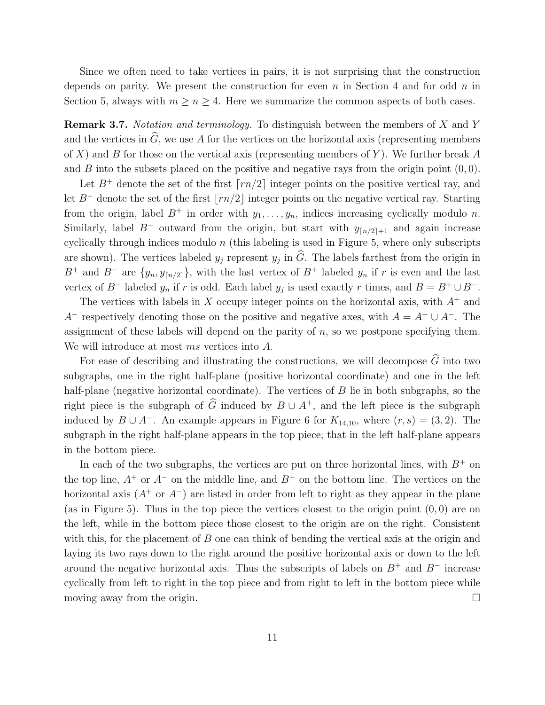Since we often need to take vertices in pairs, it is not surprising that the construction depends on parity. We present the construction for even n in Section 4 and for odd n in Section 5, always with  $m \ge n \ge 4$ . Here we summarize the common aspects of both cases.

Remark 3.7. Notation and terminology. To distinguish between the members of X and Y and the vertices in  $\widehat{G}$ , we use A for the vertices on the horizontal axis (representing members of X) and B for those on the vertical axis (representing members of Y). We further break A and B into the subsets placed on the positive and negative rays from the origin point  $(0, 0)$ .

Let  $B^+$  denote the set of the first  $\lceil rn/2 \rceil$  integer points on the positive vertical ray, and let  $B^-$  denote the set of the first  $\lfloor rn/2 \rfloor$  integer points on the negative vertical ray. Starting from the origin, label  $B^+$  in order with  $y_1, \ldots, y_n$ , indices increasing cyclically modulo n. Similarly, label B<sup>-</sup> outward from the origin, but start with  $y_{\lceil n/2 \rceil+1}$  and again increase cyclically through indices modulo  $n$  (this labeling is used in Figure 5, where only subscripts are shown). The vertices labeled  $y_j$  represent  $y_j$  in G. The labels farthest from the origin in B<sup>+</sup> and B<sup>-</sup> are  $\{y_n, y_{\lceil n/2 \rceil}\}\$ , with the last vertex of B<sup>+</sup> labeled  $y_n$  if r is even and the last vertex of  $B^-$  labeled  $y_n$  if r is odd. Each label  $y_j$  is used exactly r times, and  $B = B^+ \cup B^-$ .

The vertices with labels in X occupy integer points on the horizontal axis, with  $A^+$  and A<sup>-</sup> respectively denoting those on the positive and negative axes, with  $A = A^+ \cup A^-$ . The assignment of these labels will depend on the parity of  $n$ , so we postpone specifying them. We will introduce at most ms vertices into A.

For ease of describing and illustrating the constructions, we will decompose  $\widehat{G}$  into two subgraphs, one in the right half-plane (positive horizontal coordinate) and one in the left half-plane (negative horizontal coordinate). The vertices of B lie in both subgraphs, so the right piece is the subgraph of  $\widehat{G}$  induced by  $B \cup A^+$ , and the left piece is the subgraph induced by  $B \cup A^-$ . An example appears in Figure 6 for  $K_{14,10}$ , where  $(r, s) = (3, 2)$ . The subgraph in the right half-plane appears in the top piece; that in the left half-plane appears in the bottom piece.

In each of the two subgraphs, the vertices are put on three horizontal lines, with  $B^+$  on the top line,  $A^+$  or  $A^-$  on the middle line, and  $B^-$  on the bottom line. The vertices on the horizontal axis  $(A^+ \text{ or } A^-)$  are listed in order from left to right as they appear in the plane (as in Figure 5). Thus in the top piece the vertices closest to the origin point  $(0,0)$  are on the left, while in the bottom piece those closest to the origin are on the right. Consistent with this, for the placement of  $B$  one can think of bending the vertical axis at the origin and laying its two rays down to the right around the positive horizontal axis or down to the left around the negative horizontal axis. Thus the subscripts of labels on  $B^+$  and  $B^-$  increase cyclically from left to right in the top piece and from right to left in the bottom piece while moving away from the origin.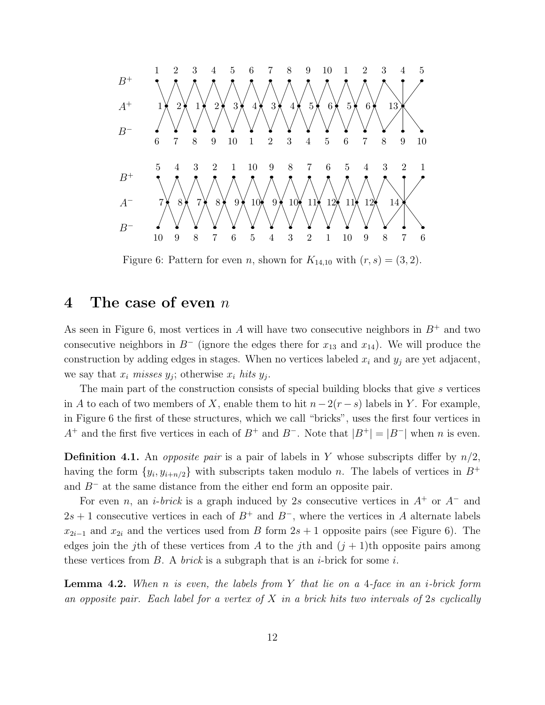

Figure 6: Pattern for even *n*, shown for  $K_{14,10}$  with  $(r, s) = (3, 2)$ .

#### 4 The case of even  $n$

As seen in Figure 6, most vertices in A will have two consecutive neighbors in  $B^+$  and two consecutive neighbors in  $B^-$  (ignore the edges there for  $x_{13}$  and  $x_{14}$ ). We will produce the construction by adding edges in stages. When no vertices labeled  $x_i$  and  $y_j$  are yet adjacent, we say that  $x_i$  misses  $y_j$ ; otherwise  $x_i$  hits  $y_j$ .

The main part of the construction consists of special building blocks that give s vertices in A to each of two members of X, enable them to hit  $n-2(r - s)$  labels in Y. For example, in Figure 6 the first of these structures, which we call "bricks", uses the first four vertices in  $A^+$  and the first five vertices in each of  $B^+$  and  $B^-$ . Note that  $|B^+| = |B^-|$  when n is even.

**Definition 4.1.** An *opposite pair* is a pair of labels in Y whose subscripts differ by  $n/2$ , having the form  $\{y_i, y_{i+n/2}\}\$  with subscripts taken modulo n. The labels of vertices in  $B^+$ and  $B^-$  at the same distance from the either end form an opposite pair.

For even n, an i-brick is a graph induced by 2s consecutive vertices in  $A^+$  or  $A^-$  and  $2s + 1$  consecutive vertices in each of  $B^+$  and  $B^-$ , where the vertices in A alternate labels  $x_{2i-1}$  and  $x_{2i}$  and the vertices used from B form  $2s + 1$  opposite pairs (see Figure 6). The edges join the *j*th of these vertices from A to the *j*th and  $(j + 1)$ th opposite pairs among these vertices from  $B$ . A *brick* is a subgraph that is an *i*-brick for some *i*.

**Lemma 4.2.** When n is even, the labels from Y that lie on a 4-face in an *i*-brick form an opposite pair. Each label for a vertex of X in a brick hits two intervals of 2s cyclically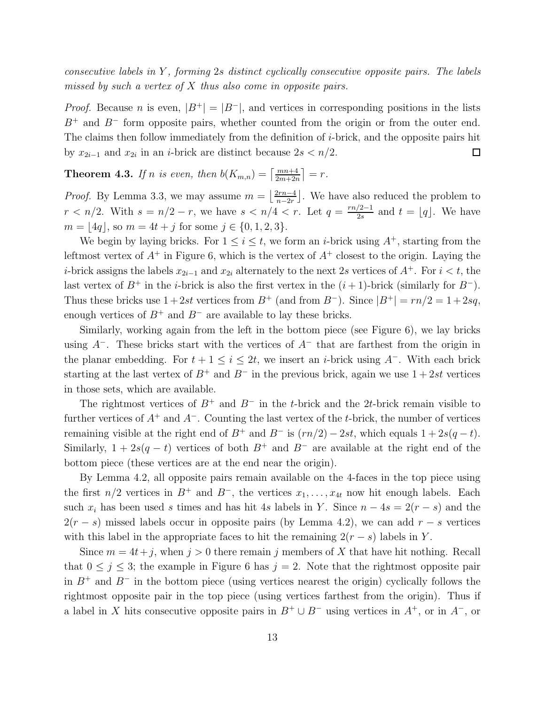consecutive labels in  $Y$ , forming 2s distinct cyclically consecutive opposite pairs. The labels missed by such a vertex of X thus also come in opposite pairs.

*Proof.* Because n is even,  $|B^+| = |B^-|$ , and vertices in corresponding positions in the lists  $B^+$  and  $B^-$  form opposite pairs, whether counted from the origin or from the outer end. The claims then follow immediately from the definition of *i*-brick, and the opposite pairs hit by  $x_{2i-1}$  and  $x_{2i}$  in an *i*-brick are distinct because  $2s < n/2$ .  $\Box$ 

**Theorem 4.3.** If n is even, then  $b(K_{m,n}) = \left\lceil \frac{mn+4}{2m+2n} \right\rceil = r$ .

*Proof.* By Lemma 3.3, we may assume  $m = \left| \frac{2rn-4}{n-2r} \right|$  $\frac{2rn-4}{n-2r}$ . We have also reduced the problem to  $r < n/2$ . With  $s = n/2 - r$ , we have  $s < n/4 < r$ . Let  $q = \frac{rn/2-1}{2s}$  $\frac{2-1}{2s}$  and  $t = \lfloor q \rfloor$ . We have  $m = |4q|$ , so  $m = 4t + i$  for some  $i \in \{0, 1, 2, 3\}.$ 

We begin by laying bricks. For  $1 \leq i \leq t$ , we form an *i*-brick using  $A^+$ , starting from the leftmost vertex of  $A^+$  in Figure 6, which is the vertex of  $A^+$  closest to the origin. Laying the *i*-brick assigns the labels  $x_{2i-1}$  and  $x_{2i}$  alternately to the next 2s vertices of  $A^+$ . For  $i < t$ , the last vertex of  $B^+$  in the *i*-brick is also the first vertex in the  $(i + 1)$ -brick (similarly for  $B^-$ ). Thus these bricks use  $1+2st$  vertices from  $B^+$  (and from  $B^-$ ). Since  $|B^+| = rn/2 = 1+2sq$ , enough vertices of  $B^+$  and  $B^-$  are available to lay these bricks.

Similarly, working again from the left in the bottom piece (see Figure 6), we lay bricks using  $A^-$ . These bricks start with the vertices of  $A^-$  that are farthest from the origin in the planar embedding. For  $t + 1 \leq i \leq 2t$ , we insert an *i*-brick using  $A^-$ . With each brick starting at the last vertex of  $B^+$  and  $B^-$  in the previous brick, again we use  $1+2st$  vertices in those sets, which are available.

The rightmost vertices of  $B^+$  and  $B^-$  in the t-brick and the 2t-brick remain visible to further vertices of  $A^+$  and  $A^-$ . Counting the last vertex of the t-brick, the number of vertices remaining visible at the right end of  $B^+$  and  $B^-$  is  $(rn/2) - 2st$ , which equals  $1 + 2s(q - t)$ . Similarly,  $1 + 2s(q - t)$  vertices of both  $B^+$  and  $B^-$  are available at the right end of the bottom piece (these vertices are at the end near the origin).

By Lemma 4.2, all opposite pairs remain available on the 4-faces in the top piece using the first  $n/2$  vertices in  $B^+$  and  $B^-$ , the vertices  $x_1, \ldots, x_{4t}$  now hit enough labels. Each such  $x_i$  has been used s times and has hit 4s labels in Y. Since  $n - 4s = 2(r - s)$  and the  $2(r - s)$  missed labels occur in opposite pairs (by Lemma 4.2), we can add  $r - s$  vertices with this label in the appropriate faces to hit the remaining  $2(r - s)$  labels in Y.

Since  $m = 4t + j$ , when  $j > 0$  there remain j members of X that have hit nothing. Recall that  $0 \le j \le 3$ ; the example in Figure 6 has  $j = 2$ . Note that the rightmost opposite pair in  $B^+$  and  $B^-$  in the bottom piece (using vertices nearest the origin) cyclically follows the rightmost opposite pair in the top piece (using vertices farthest from the origin). Thus if a label in X hits consecutive opposite pairs in  $B^+ \cup B^-$  using vertices in  $A^+$ , or in  $A^-$ , or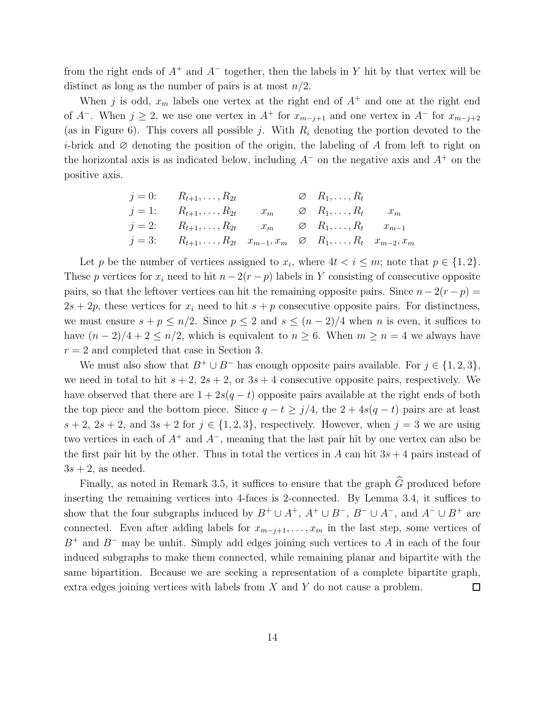from the right ends of  $A^+$  and  $A^-$  together, then the labels in Y hit by that vertex will be distinct as long as the number of pairs is at most  $n/2$ .

When j is odd,  $x_m$  labels one vertex at the right end of  $A^+$  and one at the right end of  $A^-$ . When  $j \geq 2$ , we use one vertex in  $A^+$  for  $x_{m-j+1}$  and one vertex in  $A^-$  for  $x_{m-j+2}$ (as in Figure 6). This covers all possible j. With  $R_i$  denoting the portion devoted to the *i*-brick and  $\varnothing$  denoting the position of the origin, the labeling of A from left to right on the horizontal axis is as indicated below, including  $A^-$  on the negative axis and  $A^+$  on the positive axis.

$$
\begin{array}{llll}\nj = 0: & R_{t+1}, \dots, R_{2t} & \varnothing & R_1, \dots, R_t \\
j = 1: & R_{t+1}, \dots, R_{2t} & x_m & \varnothing & R_1, \dots, R_t & x_m \\
j = 2: & R_{t+1}, \dots, R_{2t} & x_m & \varnothing & R_1, \dots, R_t & x_{m-1} \\
j = 3: & R_{t+1}, \dots, R_{2t} & x_{m-1}, x_m & \varnothing & R_1, \dots, R_t & x_{m-2}, x_m\n\end{array}
$$

Let p be the number of vertices assigned to  $x_i$ , where  $4t < i \leq m$ ; note that  $p \in \{1,2\}$ . These p vertices for  $x_i$  need to hit  $n - 2(r - p)$  labels in Y consisting of consecutive opposite pairs, so that the leftover vertices can hit the remaining opposite pairs. Since  $n - 2(r - p) =$  $2s + 2p$ , these vertices for  $x_i$  need to hit  $s + p$  consecutive opposite pairs. For distinctness, we must ensure  $s + p \leq n/2$ . Since  $p \leq 2$  and  $s \leq (n-2)/4$  when n is even, it suffices to have  $(n-2)/4+2 \leq n/2$ , which is equivalent to  $n \geq 6$ . When  $m \geq n = 4$  we always have  $r = 2$  and completed that case in Section 3.

We must also show that  $B^+ \cup B^-$  has enough opposite pairs available. For  $j \in \{1, 2, 3\}$ , we need in total to hit  $s + 2$ ,  $2s + 2$ , or  $3s + 4$  consecutive opposite pairs, respectively. We have observed that there are  $1 + 2s(q - t)$  opposite pairs available at the right ends of both the top piece and the bottom piece. Since  $q - t \geq j/4$ , the  $2 + 4s(q - t)$  pairs are at least  $s + 2$ ,  $2s + 2$ , and  $3s + 2$  for  $j \in \{1, 2, 3\}$ , respectively. However, when  $j = 3$  we are using two vertices in each of  $A^+$  and  $A^-$ , meaning that the last pair hit by one vertex can also be the first pair hit by the other. Thus in total the vertices in A can hit  $3s + 4$  pairs instead of  $3s + 2$ , as needed.

Finally, as noted in Remark 3.5, it suffices to ensure that the graph  $\widehat{G}$  produced before inserting the remaining vertices into 4-faces is 2-connected. By Lemma 3.4, it suffices to show that the four subgraphs induced by  $B^+ \cup A^+$ ,  $A^+ \cup B^-$ ,  $B^- \cup A^-$ , and  $A^- \cup B^+$  are connected. Even after adding labels for  $x_{m-j+1}, \ldots, x_m$  in the last step, some vertices of  $B^+$  and  $B^-$  may be unhit. Simply add edges joining such vertices to A in each of the four induced subgraphs to make them connected, while remaining planar and bipartite with the same bipartition. Because we are seeking a representation of a complete bipartite graph, extra edges joining vertices with labels from X and Y do not cause a problem.  $\Box$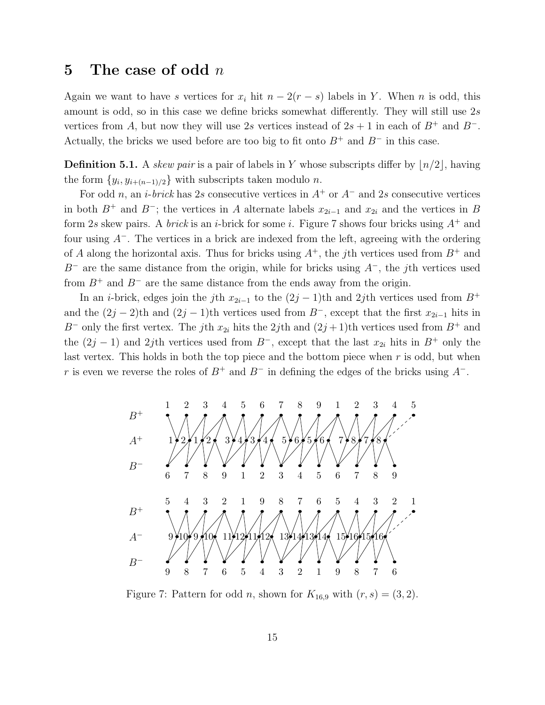#### 5 The case of odd  $n$

Again we want to have s vertices for  $x_i$  hit  $n - 2(r - s)$  labels in Y. When n is odd, this amount is odd, so in this case we define bricks somewhat differently. They will still use 2s vertices from A, but now they will use 2s vertices instead of  $2s + 1$  in each of  $B^+$  and  $B^-$ . Actually, the bricks we used before are too big to fit onto  $B^+$  and  $B^-$  in this case.

**Definition 5.1.** A skew pair is a pair of labels in Y whose subscripts differ by  $\lfloor n/2 \rfloor$ , having the form  $\{y_i, y_{i+(n-1)/2}\}\$  with subscripts taken modulo n.

For odd n, an i-brick has 2s consecutive vertices in  $A^+$  or  $A^-$  and 2s consecutive vertices in both B<sup>+</sup> and B<sup>−</sup>; the vertices in A alternate labels  $x_{2i-1}$  and  $x_{2i}$  and the vertices in B form 2s skew pairs. A *brick* is an *i*-brick for some *i*. Figure 7 shows four bricks using  $A^+$  and four using  $A^-$ . The vertices in a brick are indexed from the left, agreeing with the ordering of A along the horizontal axis. Thus for bricks using  $A^+$ , the jth vertices used from  $B^+$  and  $B^-$  are the same distance from the origin, while for bricks using  $A^-$ , the jth vertices used from  $B^+$  and  $B^-$  are the same distance from the ends away from the origin.

In an *i*-brick, edges join the j<sup>th</sup>  $x_{2i-1}$  to the  $(2j-1)$ <sup>th</sup> and  $2j$ <sup>th</sup> vertices used from  $B^+$ and the  $(2j-2)$ th and  $(2j-1)$ th vertices used from B<sup>-</sup>, except that the first  $x_{2i-1}$  hits in B<sup>-</sup> only the first vertex. The jth  $x_{2i}$  hits the 2jth and  $(2j+1)$ th vertices used from B<sup>+</sup> and the  $(2j - 1)$  and 2jth vertices used from  $B^-$ , except that the last  $x_{2i}$  hits in  $B^+$  only the last vertex. This holds in both the top piece and the bottom piece when  $r$  is odd, but when r is even we reverse the roles of  $B^+$  and  $B^-$  in defining the edges of the bricks using  $A^-$ .



Figure 7: Pattern for odd *n*, shown for  $K_{16,9}$  with  $(r, s) = (3, 2)$ .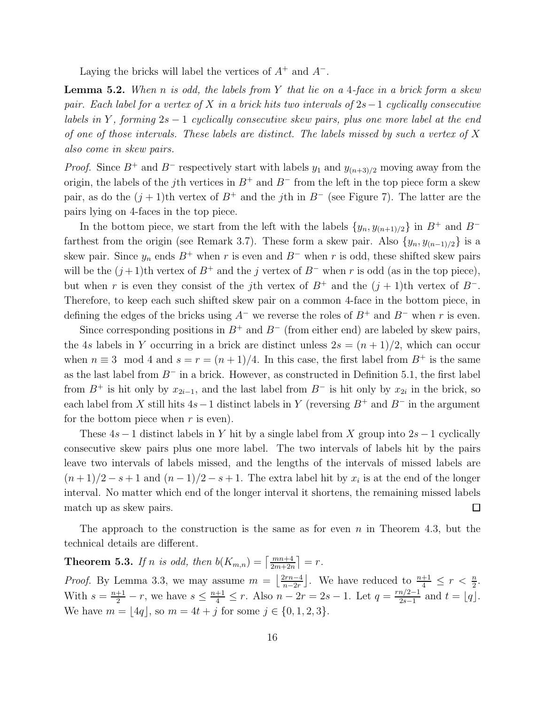Laying the bricks will label the vertices of  $A^+$  and  $A^-$ .

**Lemma 5.2.** When n is odd, the labels from Y that lie on a 4-face in a brick form a skew pair. Each label for a vertex of X in a brick hits two intervals of  $2s-1$  cyclically consecutive labels in Y, forming  $2s - 1$  cyclically consecutive skew pairs, plus one more label at the end of one of those intervals. These labels are distinct. The labels missed by such a vertex of  $X$ also come in skew pairs.

*Proof.* Since  $B^+$  and  $B^-$  respectively start with labels  $y_1$  and  $y_{(n+3)/2}$  moving away from the origin, the labels of the j<sup>th</sup> vertices in  $B^+$  and  $B^-$  from the left in the top piece form a skew pair, as do the  $(j + 1)$ th vertex of  $B^+$  and the *j*th in  $B^-$  (see Figure 7). The latter are the pairs lying on 4-faces in the top piece.

In the bottom piece, we start from the left with the labels  $\{y_n, y_{(n+1)/2}\}\$ in  $B^+$  and  $B^$ farthest from the origin (see Remark 3.7). These form a skew pair. Also  $\{y_n, y_{(n-1)/2}\}\$ is a skew pair. Since  $y_n$  ends  $B^+$  when r is even and  $B^-$  when r is odd, these shifted skew pairs will be the  $(j+1)$ th vertex of  $B^+$  and the j vertex of  $B^-$  when r is odd (as in the top piece), but when r is even they consist of the jth vertex of  $B^+$  and the  $(j + 1)$ th vertex of  $B^-$ . Therefore, to keep each such shifted skew pair on a common 4-face in the bottom piece, in defining the edges of the bricks using  $A^-$  we reverse the roles of  $B^+$  and  $B^-$  when r is even.

Since corresponding positions in  $B^+$  and  $B^-$  (from either end) are labeled by skew pairs, the 4s labels in Y occurring in a brick are distinct unless  $2s = (n + 1)/2$ , which can occur when  $n \equiv 3 \mod 4$  and  $s = r = (n + 1)/4$ . In this case, the first label from  $B^+$  is the same as the last label from  $B^-$  in a brick. However, as constructed in Definition 5.1, the first label from  $B^+$  is hit only by  $x_{2i-1}$ , and the last label from  $B^-$  is hit only by  $x_{2i}$  in the brick, so each label from X still hits  $4s-1$  distinct labels in Y (reversing  $B^+$  and  $B^-$  in the argument for the bottom piece when  $r$  is even).

These  $4s - 1$  distinct labels in Y hit by a single label from X group into  $2s - 1$  cyclically consecutive skew pairs plus one more label. The two intervals of labels hit by the pairs leave two intervals of labels missed, and the lengths of the intervals of missed labels are  $(n+1)/2 - s + 1$  and  $(n-1)/2 - s + 1$ . The extra label hit by  $x_i$  is at the end of the longer interval. No matter which end of the longer interval it shortens, the remaining missed labels match up as skew pairs.  $\Box$ 

The approach to the construction is the same as for even  $n$  in Theorem 4.3, but the technical details are different.

**Theorem 5.3.** If n is odd, then  $b(K_{m,n}) = \left\lceil \frac{mn+4}{2m+2n} \right\rceil = r$ . *Proof.* By Lemma 3.3, we may assume  $m = \left| \frac{2rn-4}{n-2r} \right|$  $\frac{2rn-4}{n-2r}$ . We have reduced to  $\frac{n+1}{4} \leq r < \frac{n}{2}$ . With  $s = \frac{n+1}{2} - r$ , we have  $s \leq \frac{n+1}{4} \leq r$ . Also  $n - 2r = 2s - 1$ . Let  $q = \frac{rn/2-1}{2s-1}$  $\frac{n/2-1}{2s-1}$  and  $t = \lfloor q \rfloor$ . We have  $m = |4q|$ , so  $m = 4t + j$  for some  $j \in \{0, 1, 2, 3\}.$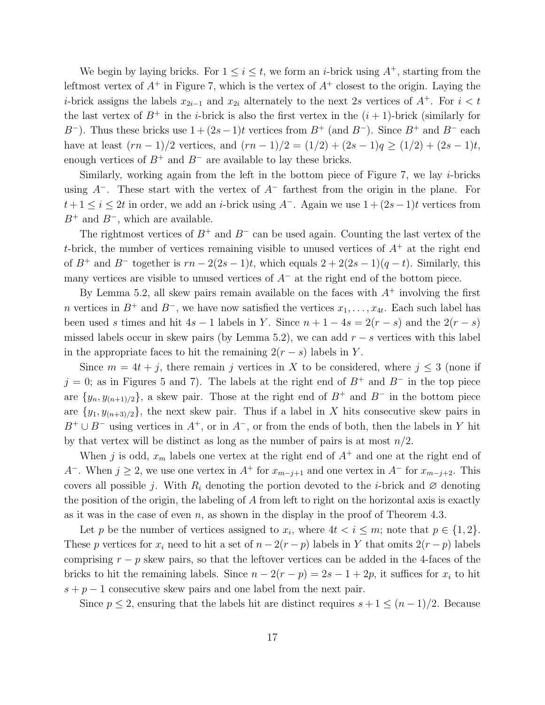We begin by laying bricks. For  $1 \leq i \leq t$ , we form an *i*-brick using  $A^+$ , starting from the leftmost vertex of  $A^+$  in Figure 7, which is the vertex of  $A^+$  closest to the origin. Laying the *i*-brick assigns the labels  $x_{2i-1}$  and  $x_{2i}$  alternately to the next 2s vertices of  $A^+$ . For  $i < t$ the last vertex of  $B^+$  in the *i*-brick is also the first vertex in the  $(i + 1)$ -brick (similarly for B<sup>-</sup>). Thus these bricks use  $1 + (2s-1)t$  vertices from B<sup>+</sup> (and B<sup>-</sup>). Since B<sup>+</sup> and B<sup>-</sup> each have at least  $(rn-1)/2$  vertices, and  $(rn-1)/2 = (1/2) + (2s-1)q \ge (1/2) + (2s-1)t$ , enough vertices of  $B^+$  and  $B^-$  are available to lay these bricks.

Similarly, working again from the left in the bottom piece of Figure 7, we lay  $i$ -bricks using  $A^-$ . These start with the vertex of  $A^-$  farthest from the origin in the plane. For  $t+1 \leq i \leq 2t$  in order, we add an *i*-brick using  $A^-$ . Again we use  $1+(2s-1)t$  vertices from  $B^+$  and  $B^-$ , which are available.

The rightmost vertices of  $B^+$  and  $B^-$  can be used again. Counting the last vertex of the t-brick, the number of vertices remaining visible to unused vertices of  $A^+$  at the right end of  $B^+$  and  $B^-$  together is  $rn - 2(2s - 1)t$ , which equals  $2 + 2(2s - 1)(q - t)$ . Similarly, this many vertices are visible to unused vertices of  $A^-$  at the right end of the bottom piece.

By Lemma 5.2, all skew pairs remain available on the faces with  $A^+$  involving the first n vertices in  $B^+$  and  $B^-$ , we have now satisfied the vertices  $x_1, \ldots, x_{4t}$ . Each such label has been used s times and hit  $4s - 1$  labels in Y. Since  $n + 1 - 4s = 2(r - s)$  and the  $2(r - s)$ missed labels occur in skew pairs (by Lemma 5.2), we can add  $r - s$  vertices with this label in the appropriate faces to hit the remaining  $2(r - s)$  labels in Y.

Since  $m = 4t + j$ , there remain j vertices in X to be considered, where  $j \leq 3$  (none if  $j = 0$ ; as in Figures 5 and 7). The labels at the right end of  $B^+$  and  $B^-$  in the top piece are  $\{y_n, y_{(n+1)/2}\}\$ , a skew pair. Those at the right end of  $B^+$  and  $B^-$  in the bottom piece are  $\{y_1, y_{(n+3)/2}\}\$ , the next skew pair. Thus if a label in X hits consecutive skew pairs in  $B^+ \cup B^-$  using vertices in  $A^+$ , or in  $A^-$ , or from the ends of both, then the labels in Y hit by that vertex will be distinct as long as the number of pairs is at most  $n/2$ .

When j is odd,  $x_m$  labels one vertex at the right end of  $A^+$  and one at the right end of A<sup>-</sup>. When  $j \ge 2$ , we use one vertex in A<sup>+</sup> for  $x_{m-j+1}$  and one vertex in A<sup>-</sup> for  $x_{m-j+2}$ . This covers all possible j. With  $R_i$  denoting the portion devoted to the *i*-brick and  $\varnothing$  denoting the position of the origin, the labeling of A from left to right on the horizontal axis is exactly as it was in the case of even  $n$ , as shown in the display in the proof of Theorem 4.3.

Let p be the number of vertices assigned to  $x_i$ , where  $4t < i \leq m$ ; note that  $p \in \{1, 2\}$ . These p vertices for  $x_i$  need to hit a set of  $n - 2(r - p)$  labels in Y that omits  $2(r - p)$  labels comprising  $r - p$  skew pairs, so that the leftover vertices can be added in the 4-faces of the bricks to hit the remaining labels. Since  $n - 2(r - p) = 2s - 1 + 2p$ , it suffices for  $x_i$  to hit  $s + p - 1$  consecutive skew pairs and one label from the next pair.

Since  $p \leq 2$ , ensuring that the labels hit are distinct requires  $s + 1 \leq (n - 1)/2$ . Because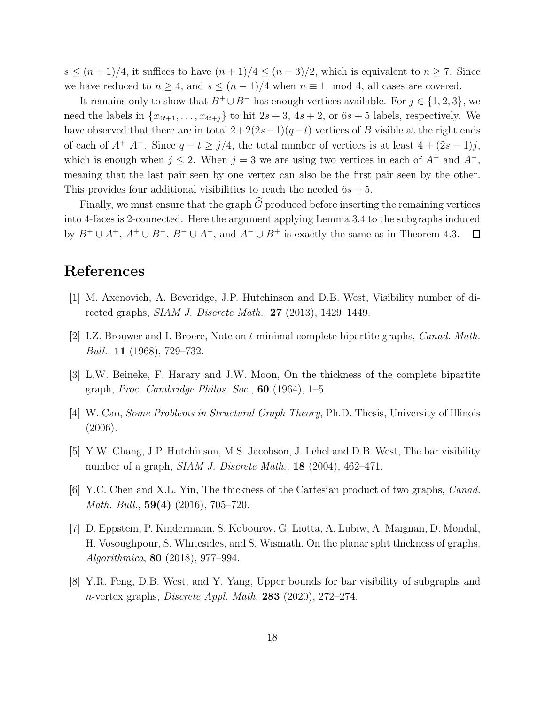$s \leq (n+1)/4$ , it suffices to have  $(n+1)/4 \leq (n-3)/2$ , which is equivalent to  $n \geq 7$ . Since we have reduced to  $n \geq 4$ , and  $s \leq (n-1)/4$  when  $n \equiv 1 \mod 4$ , all cases are covered.

It remains only to show that  $B^+ \cup B^-$  has enough vertices available. For  $j \in \{1, 2, 3\}$ , we need the labels in  $\{x_{4t+1}, \ldots, x_{4t+j}\}\$ to hit  $2s+3$ ,  $4s+2$ , or  $6s+5$  labels, respectively. We have observed that there are in total  $2+2(2s-1)(q-t)$  vertices of B visible at the right ends of each of  $A^+$   $A^-$ . Since  $q - t \geq j/4$ , the total number of vertices is at least  $4 + (2s - 1)j$ , which is enough when  $j \leq 2$ . When  $j = 3$  we are using two vertices in each of  $A^+$  and  $A^-$ , meaning that the last pair seen by one vertex can also be the first pair seen by the other. This provides four additional visibilities to reach the needed  $6s + 5$ .

Finally, we must ensure that the graph  $\widehat{G}$  produced before inserting the remaining vertices into 4-faces is 2-connected. Here the argument applying Lemma 3.4 to the subgraphs induced by  $B^+ \cup A^+, A^+ \cup B^-, B^- \cup A^-,$  and  $A^- \cup B^+$  is exactly the same as in Theorem 4.3.  $\Box$ 

#### References

- [1] M. Axenovich, A. Beveridge, J.P. Hutchinson and D.B. West, Visibility number of directed graphs, *SIAM J. Discrete Math.*, **27** (2013), 1429–1449.
- [2] I.Z. Brouwer and I. Broere, Note on t-minimal complete bipartite graphs, Canad. Math. Bull., 11 (1968), 729–732.
- [3] L.W. Beineke, F. Harary and J.W. Moon, On the thickness of the complete bipartite graph, *Proc.* Cambridge Philos. Soc.,  $60$  (1964), 1–5.
- [4] W. Cao, Some Problems in Structural Graph Theory, Ph.D. Thesis, University of Illinois (2006).
- [5] Y.W. Chang, J.P. Hutchinson, M.S. Jacobson, J. Lehel and D.B. West, The bar visibility number of a graph, *SIAM J. Discrete Math.*, **18** (2004),  $462-471$ .
- [6] Y.C. Chen and X.L. Yin, The thickness of the Cartesian product of two graphs, Canad. Math. Bull., 59(4) (2016), 705–720.
- [7] D. Eppstein, P. Kindermann, S. Kobourov, G. Liotta, A. Lubiw, A. Maignan, D. Mondal, H. Vosoughpour, S. Whitesides, and S. Wismath, On the planar split thickness of graphs. Algorithmica, 80 (2018), 977–994.
- [8] Y.R. Feng, D.B. West, and Y. Yang, Upper bounds for bar visibility of subgraphs and n-vertex graphs, *Discrete Appl. Math.* **283** (2020), 272–274.